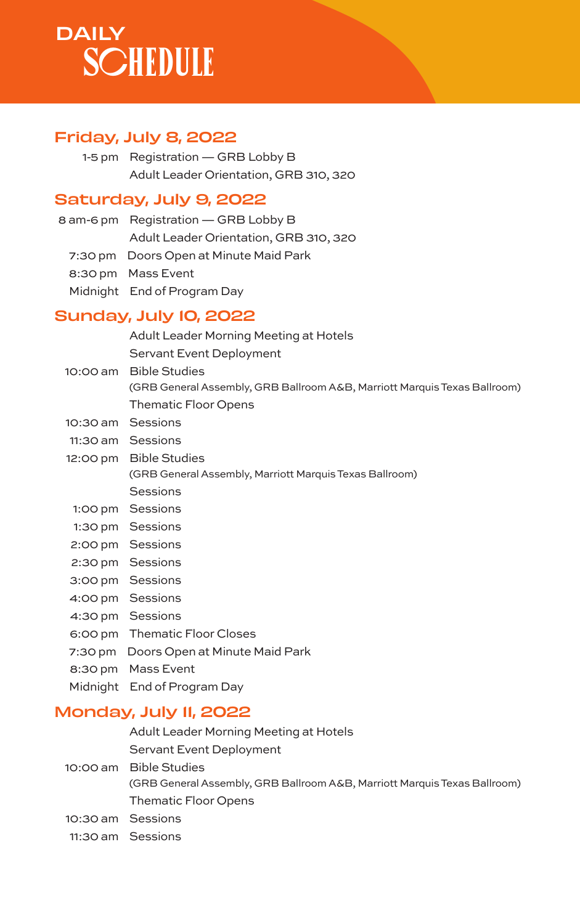# **DAILY SCHEDULE**

## Friday, July 8, 2022

1-5 pm Registration — GRB Lobby B Adult Leader Orientation, GRB 310, 320

### Saturday, July 9, 2022

| 8 am-6 pm Registration - GRB Lobby B   |
|----------------------------------------|
| Adult Leader Orientation, GRB 310, 320 |
| 7:30 pm Doors Open at Minute Maid Park |
| 8:30 pm Mass Event                     |
| Midnight End of Program Day            |

# Sunday, July 10, 2022

| Adult Leader Morning Meeting at Hotels |  |
|----------------------------------------|--|
| Servant Event Deployment               |  |

10:00 am Bible Studies (GRB General Assembly, GRB Ballroom A&B, Marriott Marquis Texas Ballroom) Thematic Floor Opens 10:30 am Sessions 11:30 am Sessions

12:00 pm Bible Studies (GRB General Assembly, Marriott Marquis Texas Ballroom) Sessions

- 1:00 pm Sessions
- 1:30 pm Sessions
- 2:00 pm Sessions
- 2:30 pm Sessions
- 3:00 pm Sessions
- 4:00 pm Sessions
- 4:30 pm Sessions
- 6:00 pm Thematic Floor Closes
- 7:30 pm Doors Open at Minute Maid Park
- 8:30 pm Mass Event
- Midnight End of Program Day

### Monday, July 11, 2022

- Adult Leader Morning Meeting at Hotels
- Servant Event Deployment
- 10:00 am Bible Studies
	- (GRB General Assembly, GRB Ballroom A&B, Marriott Marquis Texas Ballroom) Thematic Floor Opens
- 10:30 am Sessions
- 11:30 am Sessions